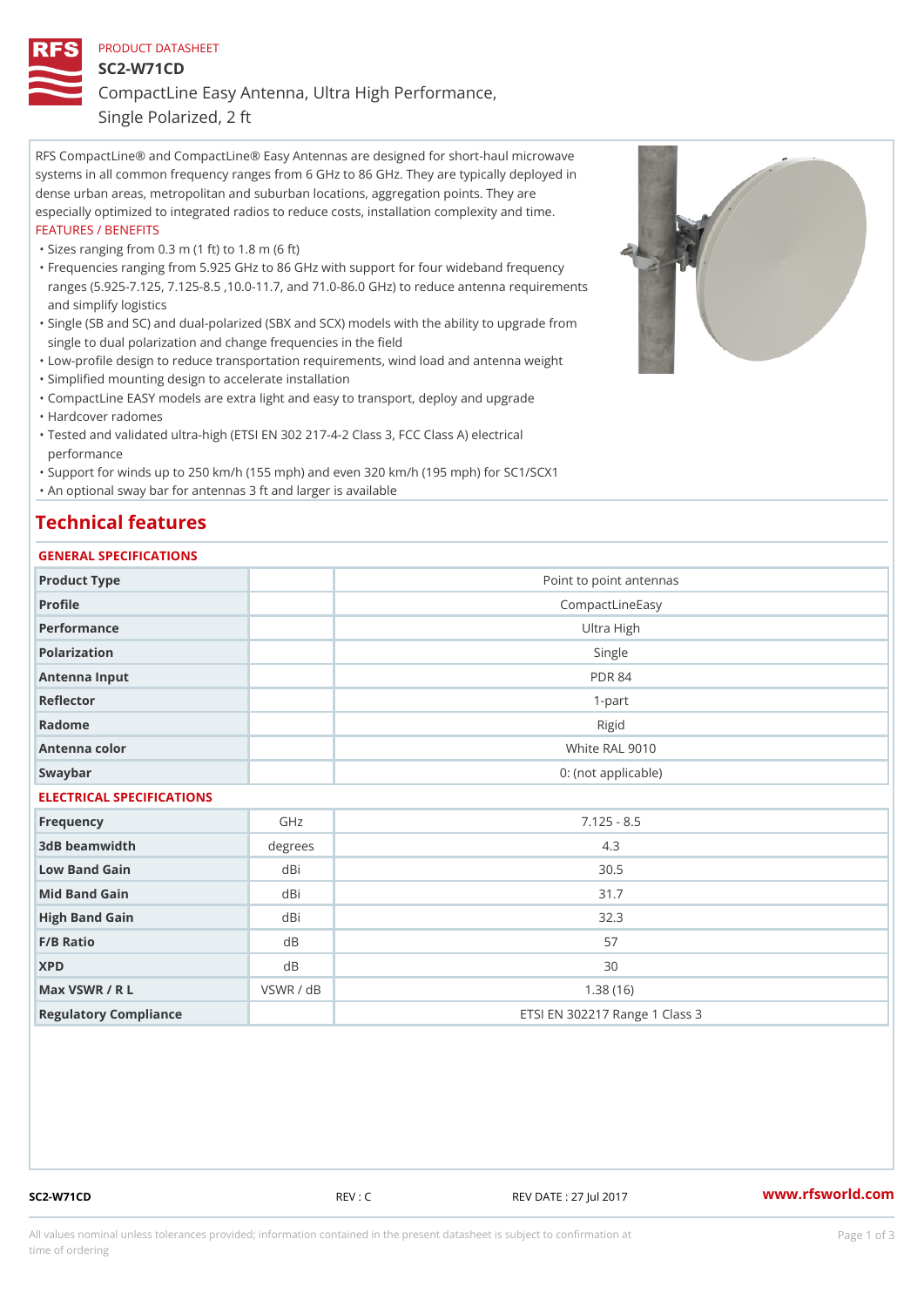# PRODUCT DATASHEET SC2-W71CD CompactLine Easy Antenna, Ultra High Performance, Single Polarized, 2 ft

RFS CompactLine® and CompactLine® Easy Antennas are designed for short-haul microwave systems in all common frequency ranges from 6 GHz to 86 GHz. They are typically deployed in dense urban areas, metropolitan and suburban locations, aggregation points. They are especially optimized to integrated radios to reduce costs, installation complexity and time. FEATURES / BENEFITS

"Sizes ranging from 0.3 m (1 ft) to 1.8 m (6 ft)

- Frequencies ranging from 5.925 GHz to 86 GHz with support for four wideband frequency " ranges (5.925-7.125, 7.125-8.5 ,10.0-11.7, and 71.0-86.0 GHz) to reduce antenna requirements and simplify logistics
- Single (SB and SC) and dual-polarized (SBX and SCX) models with the ability to upgrade from " single to dual polarization and change frequencies in the field
- "Low-profile design to reduce transportation requirements, wind load and antenna weight
- "Simplified mounting design to accelerate installation

 "CompactLine EASY models are extra light and easy to transport, deploy and upgrade "Hardcover radomes

Tested and validated ultra-high (ETSI EN 302 217-4-2 Class 3, FCC Class A) electrical " performance

 "Support for winds up to 250 km/h (155 mph) and even 320 km/h (195 mph) for SC1/SCX1 "An optional sway bar for antennas 3 ft and larger is available

# Technical features

## GENERAL SPECIFICATIONS

|                           | OLIVERAL OF LOTITOATIONS |                                |  |  |  |  |
|---------------------------|--------------------------|--------------------------------|--|--|--|--|
| Product Type              |                          | Point to point antennas        |  |  |  |  |
| Profile                   |                          | CompactLineEasy                |  |  |  |  |
| Performance               |                          | Ultra High                     |  |  |  |  |
| Polarization              |                          | Single                         |  |  |  |  |
| Antenna Input             |                          | <b>PDR 84</b>                  |  |  |  |  |
| Reflector                 |                          | $1-part$                       |  |  |  |  |
| Radome                    |                          | Rigid                          |  |  |  |  |
| Antenna color             |                          | White RAL 9010                 |  |  |  |  |
| Swaybar                   |                          | 0: (not applicable)            |  |  |  |  |
| ELECTRICAL SPECIFICATIONS |                          |                                |  |  |  |  |
| Frequency                 | GHz                      | $7.125 - 8.5$                  |  |  |  |  |
| 3dB beamwidth             | degrees                  | 4.3                            |  |  |  |  |
| Low Band Gain             | dBi                      | $30.5$                         |  |  |  |  |
| Mid Band Gain             | dBi                      | 31.7                           |  |  |  |  |
| High Band Gain            | dBi                      | 32.3                           |  |  |  |  |
| F/B Ratio                 | d B                      | 57                             |  |  |  |  |
| <b>XPD</b>                | $d$ B                    | 30                             |  |  |  |  |
| Max VSWR / R L            | VSWR / dB                | 1.38(16)                       |  |  |  |  |
| Regulatory Compliance     |                          | ETSI EN 302217 Range 1 Class 3 |  |  |  |  |

SC2-W71CD REV : C REV DATE : 27 Jul 2017 [www.](https://www.rfsworld.com)rfsworld.com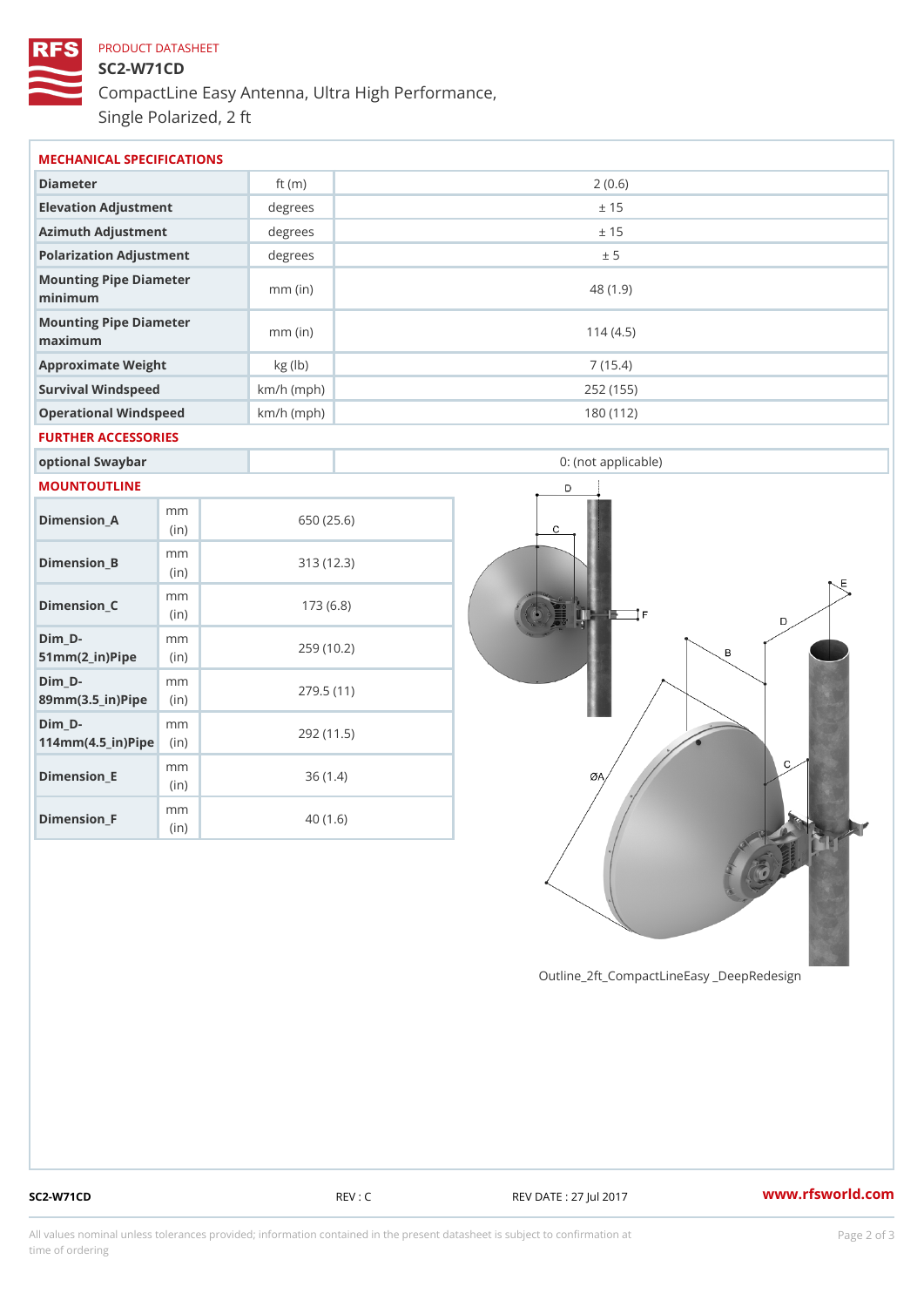# PRODUCT DATASHEET SC2-W71CD CompactLine Easy Antenna, Ultra High Performance, Single Polarized, 2 ft

| MECHANICAL SPECIFICATIONS                                              |                |              |            |                     |  |  |
|------------------------------------------------------------------------|----------------|--------------|------------|---------------------|--|--|
| Diameter                                                               |                | ft $(m)$     | 2(0.6)     |                     |  |  |
| Elevation Adjustment                                                   |                | degree       |            | ± 15                |  |  |
| Azimuth Adjustment                                                     |                | degree       |            | ± 15                |  |  |
| Polarization Adjustment                                                |                | degrees      |            | ± 5                 |  |  |
| Mounting Pipe Diameter<br>minimum                                      |                | $mm$ (in)    |            | 48(1.9)             |  |  |
| Mounting Pipe Diameter<br>maximum                                      |                | $mm$ (in)    |            | 114(4.5)            |  |  |
| Approximate Weight                                                     |                | kg (lb)      |            | 7(15.4)             |  |  |
| Survival Windspeed                                                     |                | $km/h$ (mph) |            | 252 (155)           |  |  |
| Operational Windspeed                                                  |                | $km/h$ (mph) | 180 (112)  |                     |  |  |
| FURTHER ACCESSORIES                                                    |                |              |            |                     |  |  |
| optional Swaybar                                                       |                |              |            | 0: (not applicable) |  |  |
| MOUNTOUTLINE                                                           |                |              |            |                     |  |  |
| $Dimension_A$                                                          | m m<br>(in)    |              | 650 (25.6) |                     |  |  |
| Dimension_B                                                            | m m<br>(in)    |              | 313(12.3)  |                     |  |  |
| $Dimension_C$                                                          | m m<br>(in)    | 173(6.8)     |            |                     |  |  |
| $Dim_D - D -$<br>$51mm(2_in)Pip@in$                                    | m <sub>m</sub> | 259 (10.2)   |            |                     |  |  |
| $Dim_D - D -$<br>89mm (3.5_in) Pi(pine)                                | m m            | 279.5(11)    |            |                     |  |  |
| $Dim_D - D -$<br>$114$ m m $(4.5$ ir $)$ $\sqrt{$ ii $\sqrt{p}}$ $\ge$ | m m            |              | 292 (11.5) |                     |  |  |
|                                                                        | m m            |              |            |                     |  |  |

Outline\_2ft\_CompactLineEasy \_DeepRedesi

Dimension\_E

Dimension\_F

(in)

m m (in)

36 (1.4)

40 (1.6)

SC2-W71CD REV : C REV REV DATE : 27 Jul 2017 WWW.rfsworld.com